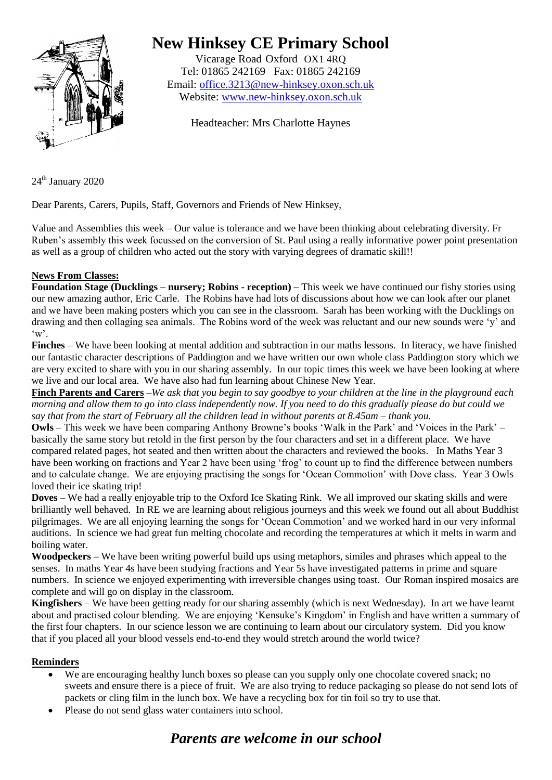

# **New Hinksey CE Primary School**

Vicarage Road Oxford OX1 4RQ Tel: 01865 242169 Fax: 01865 242169 Email: [office.3213@new-hinksey.oxon.sch.uk](mailto:office.3213@new-hinksey.oxon.sch.uk) Website: [www.new-hinksey.oxon.sch.uk](http://www.new-hinksey.oxon.sch.uk/)

Headteacher: Mrs Charlotte Haynes

24<sup>th</sup> January 2020

Dear Parents, Carers, Pupils, Staff, Governors and Friends of New Hinksey,

Value and Assemblies this week – Our value is tolerance and we have been thinking about celebrating diversity. Fr Ruben's assembly this week focussed on the conversion of St. Paul using a really informative power point presentation as well as a group of children who acted out the story with varying degrees of dramatic skill!!

## **News From Classes:**

**Foundation Stage (Ducklings – nursery; Robins - reception) –** This week we have continued our fishy stories using our new amazing author, Eric Carle. The Robins have had lots of discussions about how we can look after our planet and we have been making posters which you can see in the classroom. Sarah has been working with the Ducklings on drawing and then collaging sea animals. The Robins word of the week was reluctant and our new sounds were 'y' and  $\mathbf{w}$ .

**Finches** – We have been looking at mental addition and subtraction in our maths lessons. In literacy, we have finished our fantastic character descriptions of Paddington and we have written our own whole class Paddington story which we are very excited to share with you in our sharing assembly. In our topic times this week we have been looking at where we live and our local area. We have also had fun learning about Chinese New Year.

**Finch Parents and Carers** –*We ask that you begin to say goodbye to your children at the line in the playground each morning and allow them to go into class independently now. If you need to do this gradually please do but could we say that from the start of February all the children lead in without parents at 8.45am – thank you.*

**Owls** – This week we have been comparing Anthony Browne's books 'Walk in the Park' and 'Voices in the Park' – basically the same story but retold in the first person by the four characters and set in a different place. We have compared related pages, hot seated and then written about the characters and reviewed the books. In Maths Year 3 have been working on fractions and Year 2 have been using 'frog' to count up to find the difference between numbers and to calculate change. We are enjoying practising the songs for 'Ocean Commotion' with Dove class. Year 3 Owls loved their ice skating trip!

**Doves** – We had a really enjoyable trip to the Oxford Ice Skating Rink. We all improved our skating skills and were brilliantly well behaved. In RE we are learning about religious journeys and this week we found out all about Buddhist pilgrimages. We are all enjoying learning the songs for 'Ocean Commotion' and we worked hard in our very informal auditions. In science we had great fun melting chocolate and recording the temperatures at which it melts in warm and boiling water.

**Woodpeckers –** We have been writing powerful build ups using metaphors, similes and phrases which appeal to the senses. In maths Year 4s have been studying fractions and Year 5s have investigated patterns in prime and square numbers. In science we enjoyed experimenting with irreversible changes using toast. Our Roman inspired mosaics are complete and will go on display in the classroom.

**Kingfishers** – We have been getting ready for our sharing assembly (which is next Wednesday). In art we have learnt about and practised colour blending. We are enjoying 'Kensuke's Kingdom' in English and have written a summary of the first four chapters. In our science lesson we are continuing to learn about our circulatory system. Did you know that if you placed all your blood vessels end-to-end they would stretch around the world twice?

### **Reminders**

- We are encouraging healthy lunch boxes so please can you supply only one chocolate covered snack; no sweets and ensure there is a piece of fruit. We are also trying to reduce packaging so please do not send lots of packets or cling film in the lunch box. We have a recycling box for tin foil so try to use that.
- Please do not send glass water containers into school.

# *Parents are welcome in our school*